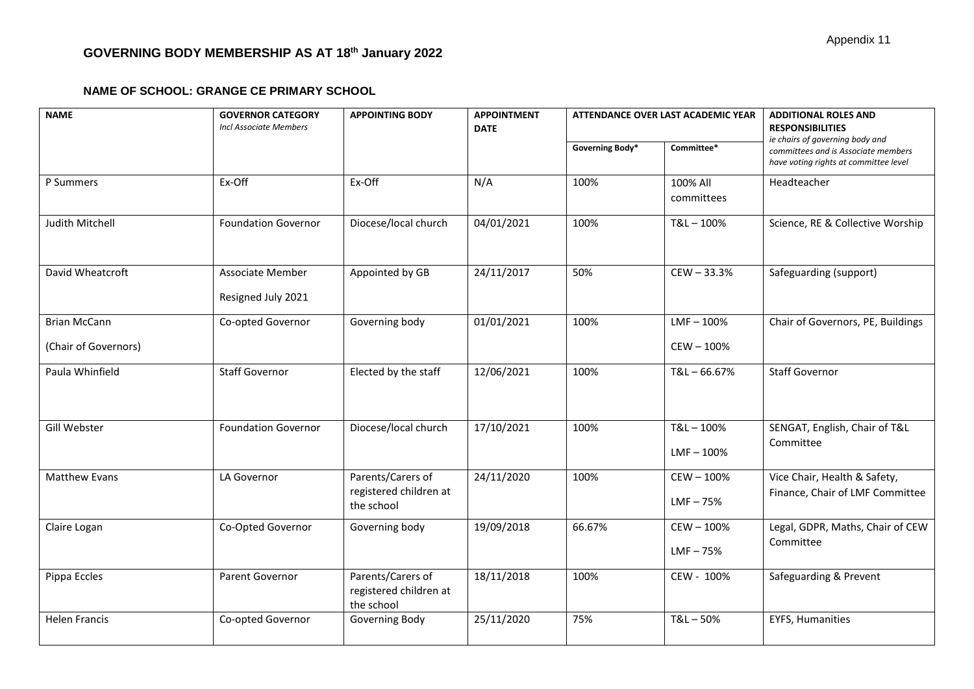# **GOVERNING BODY MEMBERSHIP AS AT 18th January 2022**

#### **NAME OF SCHOOL: GRANGE CE PRIMARY SCHOOL**

| <b>NAME</b>                                 | <b>GOVERNOR CATEGORY</b><br><b>Incl Associate Members</b> | <b>APPOINTING BODY</b>                                    | <b>APPOINTMENT</b><br><b>DATE</b> | <b>ATTENDANCE OVER LAST ACADEMIC YEAR</b> |                             | <b>ADDITIONAL ROLES AND</b><br><b>RESPONSIBILITIES</b>                                                          |
|---------------------------------------------|-----------------------------------------------------------|-----------------------------------------------------------|-----------------------------------|-------------------------------------------|-----------------------------|-----------------------------------------------------------------------------------------------------------------|
|                                             |                                                           |                                                           |                                   | Governing Body*                           | Committee*                  | ie chairs of governing body and<br>committees and is Associate members<br>have voting rights at committee level |
| P Summers                                   | Ex-Off                                                    | Ex-Off                                                    | N/A                               | 100%                                      | 100% All<br>committees      | Headteacher                                                                                                     |
| Judith Mitchell                             | <b>Foundation Governor</b>                                | Diocese/local church                                      | 04/01/2021                        | 100%                                      | T&L-100%                    | Science, RE & Collective Worship                                                                                |
| David Wheatcroft                            | Associate Member<br>Resigned July 2021                    | Appointed by GB                                           | 24/11/2017                        | 50%                                       | CEW-33.3%                   | Safeguarding (support)                                                                                          |
| <b>Brian McCann</b><br>(Chair of Governors) | Co-opted Governor                                         | Governing body                                            | 01/01/2021                        | 100%                                      | $LMF - 100%$<br>CEW-100%    | Chair of Governors, PE, Buildings                                                                               |
| Paula Whinfield                             | <b>Staff Governor</b>                                     | Elected by the staff                                      | 12/06/2021                        | 100%                                      | $T&L - 66.67%$              | <b>Staff Governor</b>                                                                                           |
| Gill Webster                                | <b>Foundation Governor</b>                                | Diocese/local church                                      | 17/10/2021                        | 100%                                      | T&L-100%<br>$LMF - 100%$    | SENGAT, English, Chair of T&L<br>Committee                                                                      |
| <b>Matthew Evans</b>                        | LA Governor                                               | Parents/Carers of<br>registered children at<br>the school | 24/11/2020                        | 100%                                      | $CEW - 100%$<br>$LMF - 75%$ | Vice Chair, Health & Safety,<br>Finance, Chair of LMF Committee                                                 |
| Claire Logan                                | Co-Opted Governor                                         | Governing body                                            | 19/09/2018                        | 66.67%                                    | CEW-100%<br>$LMF - 75%$     | Legal, GDPR, Maths, Chair of CEW<br>Committee                                                                   |
| Pippa Eccles                                | Parent Governor                                           | Parents/Carers of<br>registered children at<br>the school | 18/11/2018                        | 100%                                      | CEW - 100%                  | Safeguarding & Prevent                                                                                          |
| <b>Helen Francis</b>                        | Co-opted Governor                                         | Governing Body                                            | 25/11/2020                        | 75%                                       | $T&L - 50%$                 | <b>EYFS, Humanities</b>                                                                                         |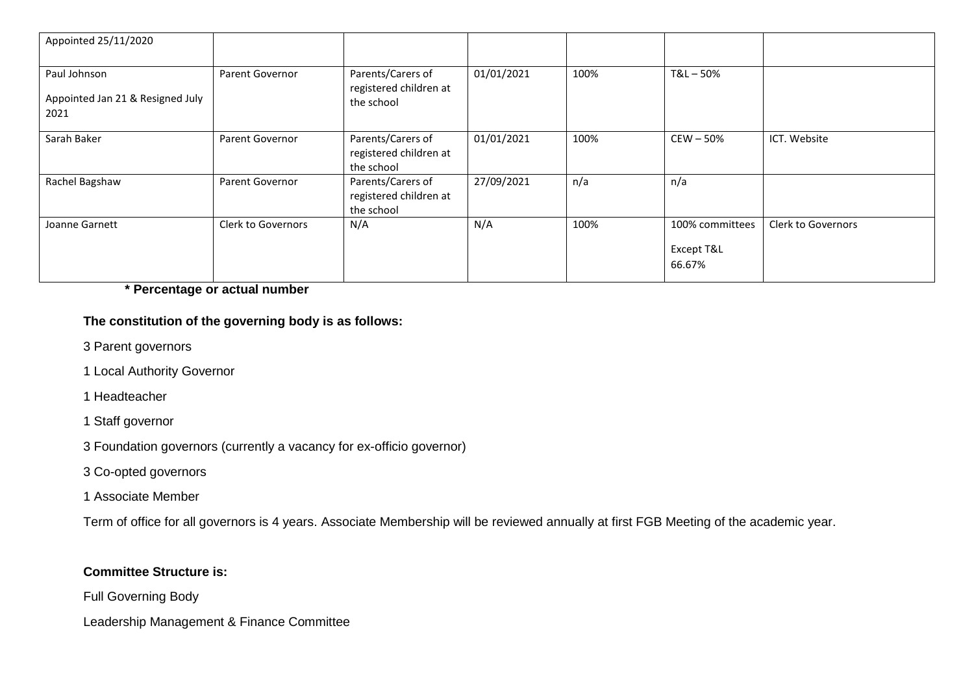| Appointed 25/11/2020                                     |                    |                                                           |            |      |                                         |                    |
|----------------------------------------------------------|--------------------|-----------------------------------------------------------|------------|------|-----------------------------------------|--------------------|
| Paul Johnson<br>Appointed Jan 21 & Resigned July<br>2021 | Parent Governor    | Parents/Carers of<br>registered children at<br>the school | 01/01/2021 | 100% | T&L-50%                                 |                    |
| Sarah Baker                                              | Parent Governor    | Parents/Carers of<br>registered children at<br>the school | 01/01/2021 | 100% | $CEW - 50%$                             | ICT. Website       |
| Rachel Bagshaw                                           | Parent Governor    | Parents/Carers of<br>registered children at<br>the school | 27/09/2021 | n/a  | n/a                                     |                    |
| Joanne Garnett                                           | Clerk to Governors | N/A                                                       | N/A        | 100% | 100% committees<br>Except T&L<br>66.67% | Clerk to Governors |

**\* Percentage or actual number**

# **The constitution of the governing body is as follows:**

- 3 Parent governors
- 1 Local Authority Governor
- 1 Headteacher
- 1 Staff governor
- 3 Foundation governors (currently a vacancy for ex-officio governor)
- 3 Co-opted governors
- 1 Associate Member

Term of office for all governors is 4 years. Associate Membership will be reviewed annually at first FGB Meeting of the academic year.

## **Committee Structure is:**

Full Governing Body

Leadership Management & Finance Committee